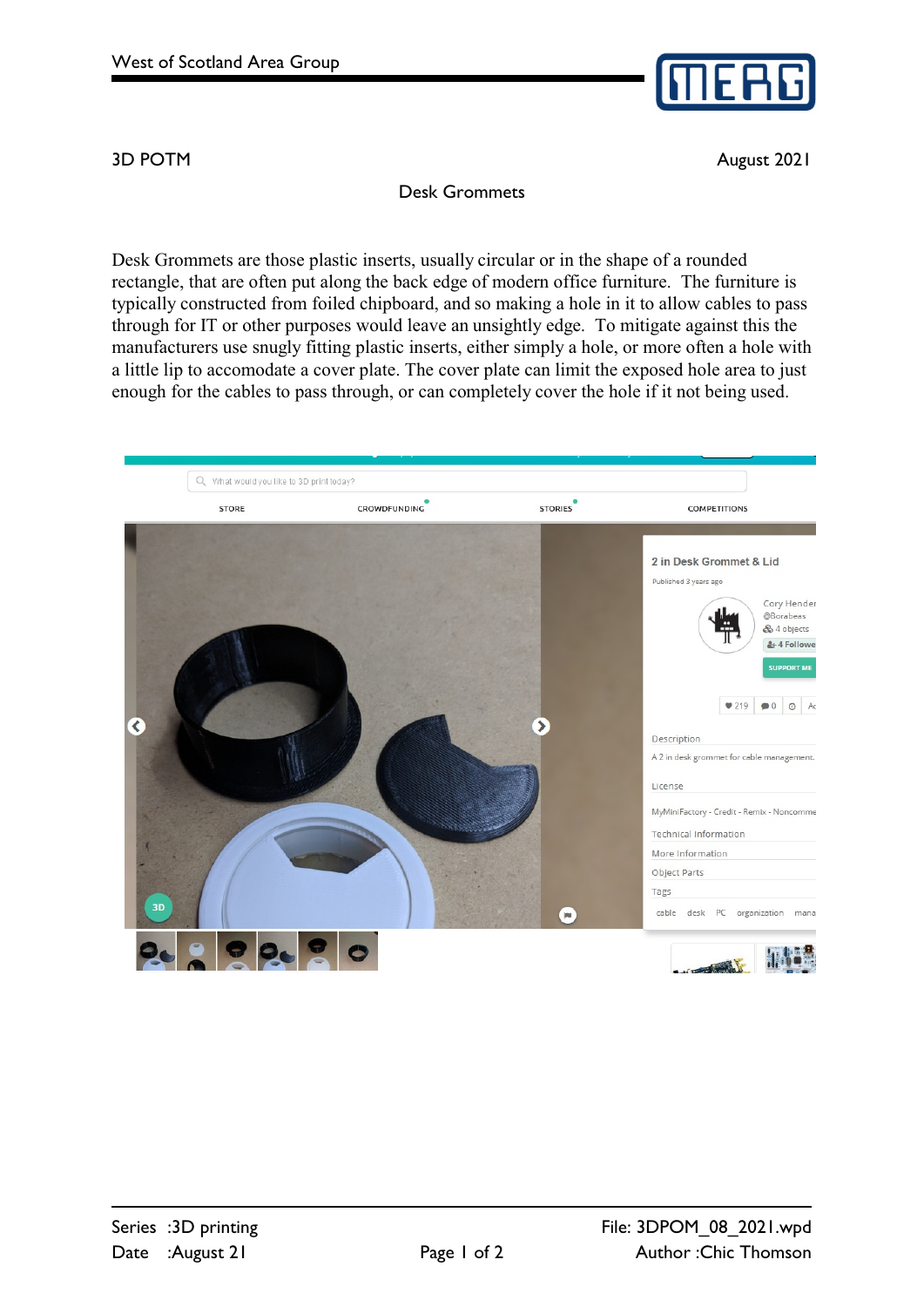

3D POTM August 2021

Desk Grommets

Desk Grommets are those plastic inserts, usually circular or in the shape of a rounded rectangle, that are often put along the back edge of modern office furniture. The furniture is typically constructed from foiled chipboard, and so making a hole in it to allow cables to pass through for IT or other purposes would leave an unsightly edge. To mitigate against this the manufacturers use snugly fitting plastic inserts, either simply a hole, or more often a hole with a little lip to accomodate a cover plate. The cover plate can limit the exposed hole area to just enough for the cables to pass through, or can completely cover the hole if it not being used.